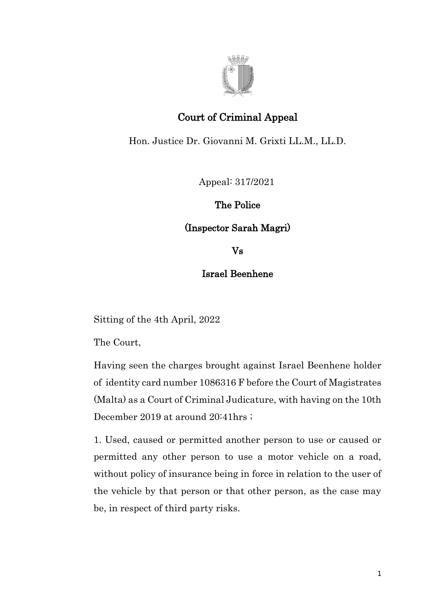

## Court of Criminal Appeal

Hon. Justice Dr. Giovanni M. Grixti LL.M., LL.D.

Appeal: 317/2021

The Police

(Inspector Sarah Magri)

Vs

## Israel Beenhene

Sitting of the 4th April, 2022

The Court,

Having seen the charges brought against Israel Beenhene holder of identity card number 1086316 F before the Court of Magistrates (Malta) as a Court of Criminal Judicature, with having on the 10th December 2019 at around 20:41hrs ;

1. Used, caused or permitted another person to use or caused or permitted any other person to use a motor vehicle on a road, without policy of insurance being in force in relation to the user of the vehicle by that person or that other person, as the case may be, in respect of third party risks.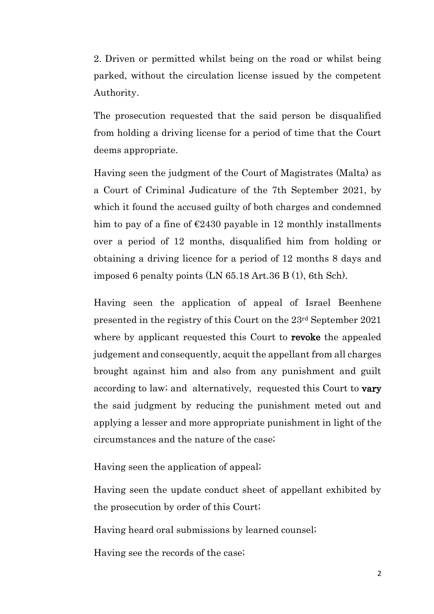2. Driven or permitted whilst being on the road or whilst being parked, without the circulation license issued by the competent Authority.

The prosecution requested that the said person be disqualified from holding a driving license for a period of time that the Court deems appropriate.

Having seen the judgment of the Court of Magistrates (Malta) as a Court of Criminal Judicature of the 7th September 2021, by which it found the accused guilty of both charges and condemned him to pay of a fine of  $\epsilon$ 2430 payable in 12 monthly installments over a period of 12 months, disqualified him from holding or obtaining a driving licence for a period of 12 months 8 days and imposed 6 penalty points (LN 65.18 Art.36 B (1), 6th Sch).

Having seen the application of appeal of Israel Beenhene presented in the registry of this Court on the 23rd September 2021 where by applicant requested this Court to **revoke** the appealed judgement and consequently, acquit the appellant from all charges brought against him and also from any punishment and guilt according to law; and alternatively, requested this Court to vary the said judgment by reducing the punishment meted out and applying a lesser and more appropriate punishment in light of the circumstances and the nature of the case;

Having seen the application of appeal;

Having seen the update conduct sheet of appellant exhibited by the prosecution by order of this Court;

Having heard oral submissions by learned counsel;

Having see the records of the case;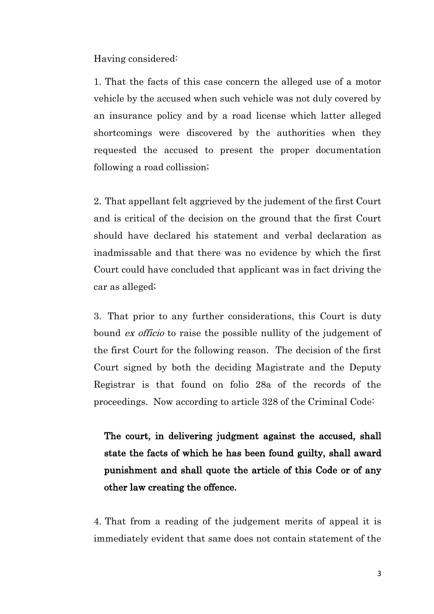Having considered:

1. That the facts of this case concern the alleged use of a motor vehicle by the accused when such vehicle was not duly covered by an insurance policy and by a road license which latter alleged shortcomings were discovered by the authorities when they requested the accused to present the proper documentation following a road collission;

2. That appellant felt aggrieved by the judement of the first Court and is critical of the decision on the ground that the first Court should have declared his statement and verbal declaration as inadmissable and that there was no evidence by which the first Court could have concluded that applicant was in fact driving the car as alleged;

3. That prior to any further considerations, this Court is duty bound ex officio to raise the possible nullity of the judgement of the first Court for the following reason. The decision of the first Court signed by both the deciding Magistrate and the Deputy Registrar is that found on folio 28a of the records of the proceedings. Now according to article 328 of the Criminal Code:

The court, in delivering judgment against the accused, shall state the facts of which he has been found guilty, shall award punishment and shall quote the article of this Code or of any other law creating the offence.

4. That from a reading of the judgement merits of appeal it is immediately evident that same does not contain statement of the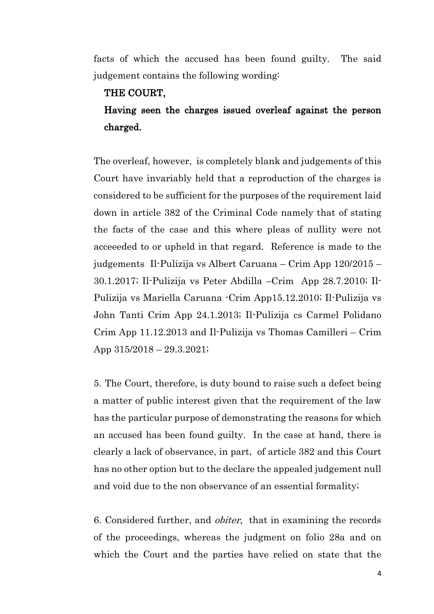facts of which the accused has been found guilty. The said judgement contains the following wording:

## THE COURT,

## Having seen the charges issued overleaf against the person charged.

The overleaf, however, is completely blank and judgements of this Court have invariably held that a reproduction of the charges is considered to be sufficient for the purposes of the requirement laid down in article 382 of the Criminal Code namely that of stating the facts of the case and this where pleas of nullity were not acceeeded to or upheld in that regard. Reference is made to the judgements Il-Pulizija vs Albert Caruana – Crim App 120/2015 – 30.1.2017; Il-Pulizija vs Peter Abdilla –Crim App 28.7.2010; Il-Pulizija vs Mariella Caruana -Crim App15.12.2010; Il-Pulizija vs John Tanti Crim App 24.1.2013; Il-Pulizija cs Carmel Polidano Crim App 11.12.2013 and Il-Pulizija vs Thomas Camilleri – Crim App 315/2018 – 29.3.2021;

5. The Court, therefore, is duty bound to raise such a defect being a matter of public interest given that the requirement of the law has the particular purpose of demonstrating the reasons for which an accused has been found guilty. In the case at hand, there is clearly a lack of observance, in part, of article 382 and this Court has no other option but to the declare the appealed judgement null and void due to the non observance of an essential formality;

6. Considered further, and obiter, that in examining the records of the proceedings, whereas the judgment on folio 28a and on which the Court and the parties have relied on state that the